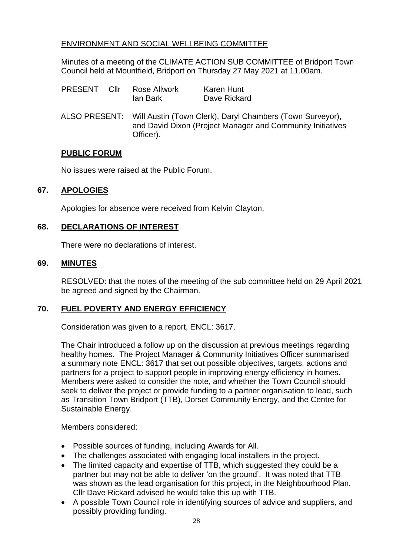# ENVIRONMENT AND SOCIAL WELLBEING COMMITTEE

Minutes of a meeting of the CLIMATE ACTION SUB COMMITTEE of Bridport Town Council held at Mountfield, Bridport on Thursday 27 May 2021 at 11.00am.

| PRESENT Cllr |  | Rose Allwork<br>lan Bark                                                                                                                           | <b>Karen Hunt</b><br>Dave Rickard |
|--------------|--|----------------------------------------------------------------------------------------------------------------------------------------------------|-----------------------------------|
|              |  | ALSO PRESENT: Will Austin (Town Clerk), Daryl Chambers (Town Surveyor),<br>and David Dixon (Project Manager and Community Initiatives<br>Officer). |                                   |

### **PUBLIC FORUM**

No issues were raised at the Public Forum.

# **67. APOLOGIES**

Apologies for absence were received from Kelvin Clayton,

### **68. DECLARATIONS OF INTEREST**

There were no declarations of interest.

#### **69. MINUTES**

RESOLVED: that the notes of the meeting of the sub committee held on 29 April 2021 be agreed and signed by the Chairman.

# **70. FUEL POVERTY AND ENERGY EFFICIENCY**

Consideration was given to a report, ENCL: 3617.

The Chair introduced a follow up on the discussion at previous meetings regarding healthy homes. The Project Manager & Community Initiatives Officer summarised a summary note ENCL: 3617 that set out possible objectives, targets, actions and partners for a project to support people in improving energy efficiency in homes. Members were asked to consider the note, and whether the Town Council should seek to deliver the project or provide funding to a partner organisation to lead, such as Transition Town Bridport (TTB), Dorset Community Energy, and the Centre for Sustainable Energy.

#### Members considered:

- Possible sources of funding, including Awards for All.
- The challenges associated with engaging local installers in the project.
- The limited capacity and expertise of TTB, which suggested they could be a partner but may not be able to deliver 'on the ground'. It was noted that TTB was shown as the lead organisation for this project, in the Neighbourhood Plan. Cllr Dave Rickard advised he would take this up with TTB.
- A possible Town Council role in identifying sources of advice and suppliers, and possibly providing funding.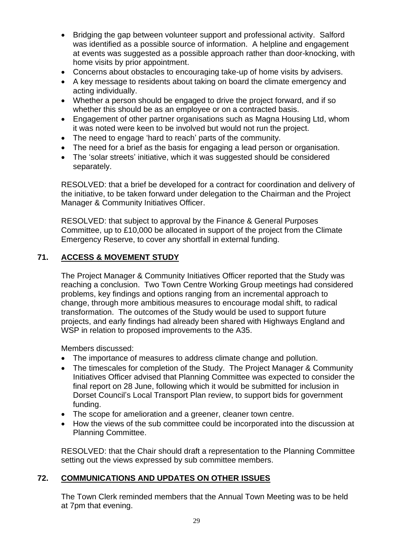- Bridging the gap between volunteer support and professional activity. Salford was identified as a possible source of information. A helpline and engagement at events was suggested as a possible approach rather than door-knocking, with home visits by prior appointment.
- Concerns about obstacles to encouraging take-up of home visits by advisers.
- A key message to residents about taking on board the climate emergency and acting individually.
- Whether a person should be engaged to drive the project forward, and if so whether this should be as an employee or on a contracted basis.
- Engagement of other partner organisations such as Magna Housing Ltd, whom it was noted were keen to be involved but would not run the project.
- The need to engage 'hard to reach' parts of the community.
- The need for a brief as the basis for engaging a lead person or organisation.
- The 'solar streets' initiative, which it was suggested should be considered separately.

RESOLVED: that a brief be developed for a contract for coordination and delivery of the initiative, to be taken forward under delegation to the Chairman and the Project Manager & Community Initiatives Officer.

RESOLVED: that subject to approval by the Finance & General Purposes Committee, up to £10,000 be allocated in support of the project from the Climate Emergency Reserve, to cover any shortfall in external funding.

# **71. ACCESS & MOVEMENT STUDY**

The Project Manager & Community Initiatives Officer reported that the Study was reaching a conclusion. Two Town Centre Working Group meetings had considered problems, key findings and options ranging from an incremental approach to change, through more ambitious measures to encourage modal shift, to radical transformation. The outcomes of the Study would be used to support future projects, and early findings had already been shared with Highways England and WSP in relation to proposed improvements to the A35.

Members discussed:

- The importance of measures to address climate change and pollution.
- The timescales for completion of the Study. The Project Manager & Community Initiatives Officer advised that Planning Committee was expected to consider the final report on 28 June, following which it would be submitted for inclusion in Dorset Council's Local Transport Plan review, to support bids for government funding.
- The scope for amelioration and a greener, cleaner town centre.
- How the views of the sub committee could be incorporated into the discussion at Planning Committee.

RESOLVED: that the Chair should draft a representation to the Planning Committee setting out the views expressed by sub committee members.

# **72. COMMUNICATIONS AND UPDATES ON OTHER ISSUES**

The Town Clerk reminded members that the Annual Town Meeting was to be held at 7pm that evening.